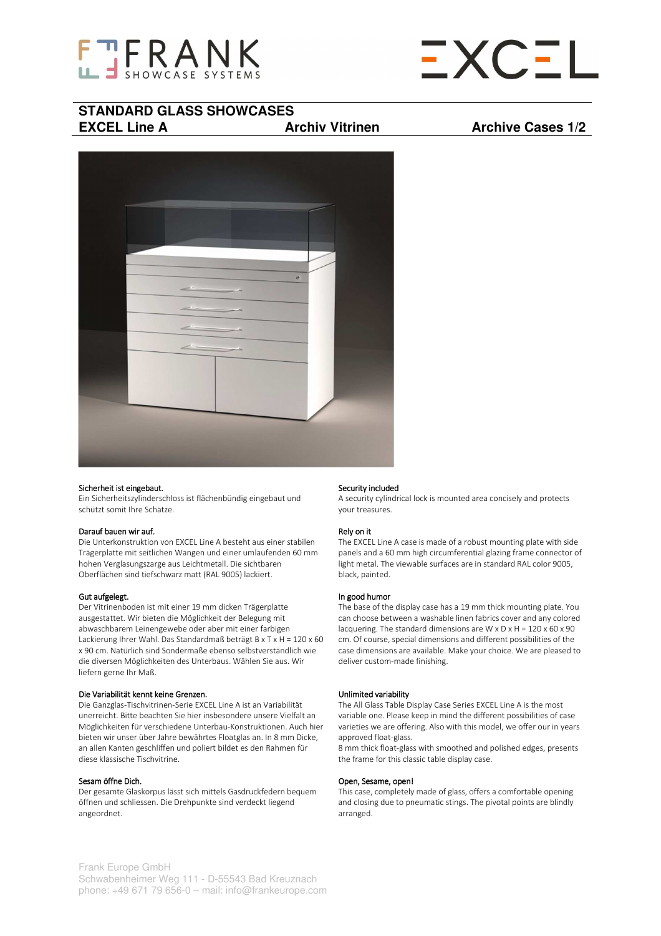



# **STANDARD GLASS SHOWCASES EXCEL Line A Archiv Vitrinen Archive Cases 1/2**



## Sicherheit ist eingebaut.

Ein Sicherheitszylinderschloss ist flächenbündig eingebaut und schützt somit Ihre Schätze.

# Darauf bauen wir auf.

Die Unterkonstruktion von EXCEL Line A besteht aus einer stabilen Trägerplatte mit seitlichen Wangen und einer umlaufenden 60 mm hohen Verglasungszarge aus Leichtmetall. Die sichtbaren Oberflächen sind tiefschwarz matt (RAL 9005) lackiert.

## Gut aufgelegt.

Der Vitrinenboden ist mit einer 19 mm dicken Trägerplatte ausgestattet. Wir bieten die Möglichkeit der Belegung mit abwaschbarem Leinengewebe oder aber mit einer farbigen Lackierung Ihrer Wahl. Das Standardmaß beträgt B x T x H = 120 x 60 x 90 cm. Natürlich sind Sondermaße ebenso selbstverständlich wie die diversen Möglichkeiten des Unterbaus. Wählen Sie aus. Wir liefern gerne Ihr Maß.

# Die Variabilität kennt keine Grenzen.

Die Ganzglas-Tischvitrinen-Serie EXCEL Line A ist an Variabilität unerreicht. Bitte beachten Sie hier insbesondere unsere Vielfalt an Möglichkeiten für verschiedene Unterbau-Konstruktionen. Auch hier bieten wir unser über Jahre bewährtes Floatglas an. In 8 mm Dicke, an allen Kanten geschliffen und poliert bildet es den Rahmen für diese klassische Tischvitrine.

# Sesam öffne Dich.

Der gesamte Glaskorpus lässt sich mittels Gasdruckfedern bequem öffnen und schliessen. Die Drehpunkte sind verdeckt liegend angeordnet.

## Security included

A security cylindrical lock is mounted area concisely and protects your treasures.

# Rely on it

The EXCEL Line A case is made of a robust mounting plate with side panels and a 60 mm high circumferential glazing frame connector of light metal. The viewable surfaces are in standard RAL color 9005, black, painted.

## In good humor

The base of the display case has a 19 mm thick mounting plate. You can choose between a washable linen fabrics cover and any colored lacquering. The standard dimensions are  $W \times D \times H = 120 \times 60 \times 90$ cm. Of course, special dimensions and different possibilities of the case dimensions are available. Make your choice. We are pleased to deliver custom-made finishing.

## Unlimited variability

The All Glass Table Display Case Series EXCEL Line A is the most variable one. Please keep in mind the different possibilities of case varieties we are offering. Also with this model, we offer our in years approved float-glass.

8 mm thick float-glass with smoothed and polished edges, presents the frame for this classic table display case.

## Open, Sesame, open!

This case, completely made of glass, offers a comfortable opening and closing due to pneumatic stings. The pivotal points are blindly arranged.